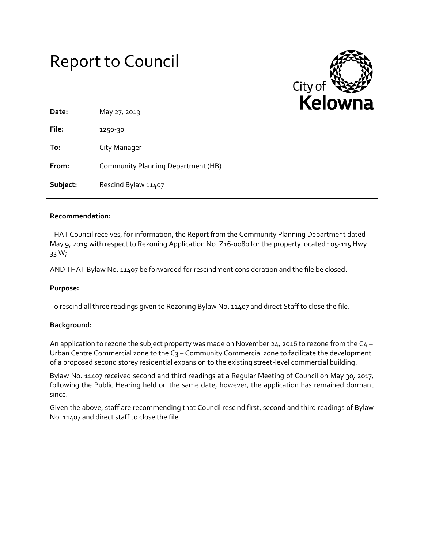# Report to Council



| Date:    | May 27, 2019                       |
|----------|------------------------------------|
| File:    | 1250-30                            |
| To:      | City Manager                       |
| From:    | Community Planning Department (HB) |
| Subject: | Rescind Bylaw 11407                |

### **Recommendation:**

THAT Council receives, for information, the Report from the Community Planning Department dated May 9, 2019 with respect to Rezoning Application No. Z16-0080 for the property located 105-115 Hwy 33 W;

AND THAT Bylaw No. 11407 be forwarded for rescindment consideration and the file be closed.

#### **Purpose:**

To rescind all three readings given to Rezoning Bylaw No. 11407 and direct Staff to close the file.

#### **Background:**

An application to rezone the subject property was made on November 24, 2016 to rezone from the  $C_4$  – Urban Centre Commercial zone to the C<sub>3</sub> – Community Commercial zone to facilitate the development of a proposed second storey residential expansion to the existing street-level commercial building.

Bylaw No. 11407 received second and third readings at a Regular Meeting of Council on May 30, 2017, following the Public Hearing held on the same date, however, the application has remained dormant since.

Given the above, staff are recommending that Council rescind first, second and third readings of Bylaw No. 11407 and direct staff to close the file.